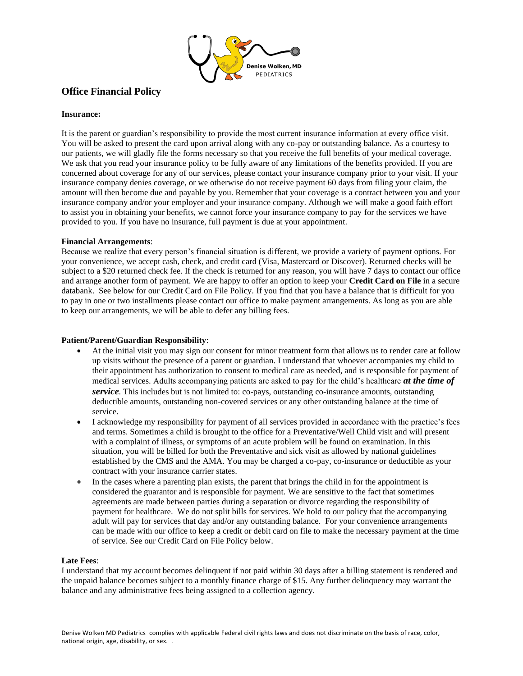

# **Office Financial Policy**

# **Insurance:**

It is the parent or guardian's responsibility to provide the most current insurance information at every office visit. You will be asked to present the card upon arrival along with any co-pay or outstanding balance. As a courtesy to our patients, we will gladly file the forms necessary so that you receive the full benefits of your medical coverage. We ask that you read your insurance policy to be fully aware of any limitations of the benefits provided. If you are concerned about coverage for any of our services, please contact your insurance company prior to your visit. If your insurance company denies coverage, or we otherwise do not receive payment 60 days from filing your claim, the amount will then become due and payable by you. Remember that your coverage is a contract between you and your insurance company and/or your employer and your insurance company. Although we will make a good faith effort to assist you in obtaining your benefits, we cannot force your insurance company to pay for the services we have provided to you. If you have no insurance, full payment is due at your appointment.

# **Financial Arrangements**:

Because we realize that every person's financial situation is different, we provide a variety of payment options. For your convenience, we accept cash, check, and credit card (Visa, Mastercard or Discover). Returned checks will be subject to a \$20 returned check fee. If the check is returned for any reason, you will have 7 days to contact our office and arrange another form of payment. We are happy to offer an option to keep your **Credit Card on File** in a secure databank. See below for our Credit Card on File Policy. If you find that you have a balance that is difficult for you to pay in one or two installments please contact our office to make payment arrangements. As long as you are able to keep our arrangements, we will be able to defer any billing fees.

# **Patient/Parent/Guardian Responsibility**:

- At the initial visit you may sign our consent for minor treatment form that allows us to render care at follow up visits without the presence of a parent or guardian. I understand that whoever accompanies my child to their appointment has authorization to consent to medical care as needed, and is responsible for payment of medical services. Adults accompanying patients are asked to pay for the child's healthcare *at the time of service*. This includes but is not limited to: co-pays, outstanding co-insurance amounts, outstanding deductible amounts, outstanding non-covered services or any other outstanding balance at the time of service.
- I acknowledge my responsibility for payment of all services provided in accordance with the practice's fees and terms. Sometimes a child is brought to the office for a Preventative/Well Child visit and will present with a complaint of illness, or symptoms of an acute problem will be found on examination. In this situation, you will be billed for both the Preventative and sick visit as allowed by national guidelines established by the CMS and the AMA. You may be charged a co-pay, co-insurance or deductible as your contract with your insurance carrier states.
- In the cases where a parenting plan exists, the parent that brings the child in for the appointment is considered the guarantor and is responsible for payment. We are sensitive to the fact that sometimes agreements are made between parties during a separation or divorce regarding the responsibility of payment for healthcare. We do not split bills for services. We hold to our policy that the accompanying adult will pay for services that day and/or any outstanding balance. For your convenience arrangements can be made with our office to keep a credit or debit card on file to make the necessary payment at the time of service. See our Credit Card on File Policy below.

#### **Late Fees**:

I understand that my account becomes delinquent if not paid within 30 days after a billing statement is rendered and the unpaid balance becomes subject to a monthly finance charge of \$15. Any further delinquency may warrant the balance and any administrative fees being assigned to a collection agency.